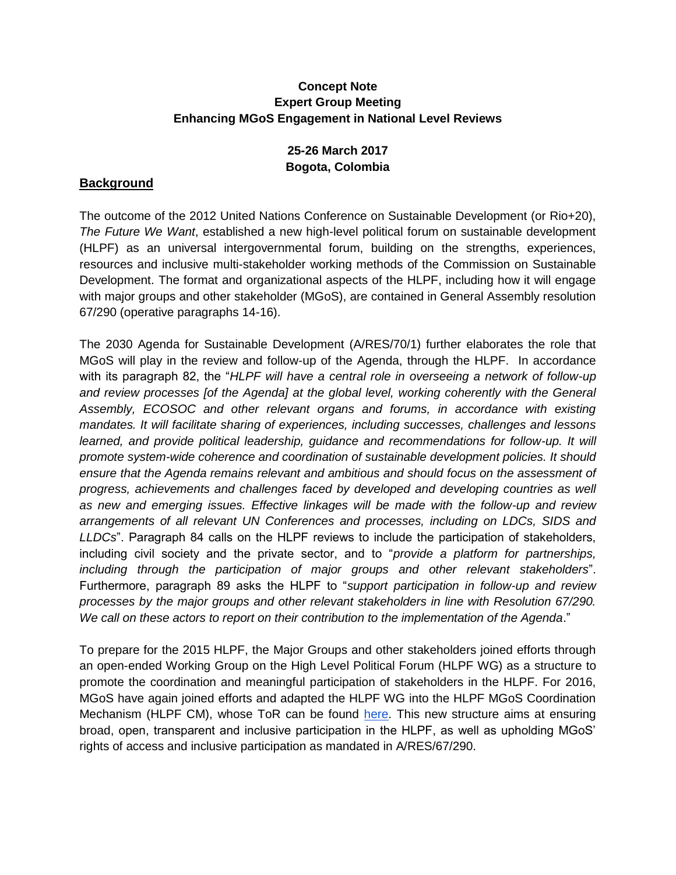## **Concept Note Expert Group Meeting Enhancing MGoS Engagement in National Level Reviews**

# **25-26 March 2017 Bogota, Colombia**

## **Background**

The outcome of the 2012 United Nations Conference on Sustainable Development (or Rio+20), *The Future We Want*, established a new high-level political forum on sustainable development (HLPF) as an universal intergovernmental forum, building on the strengths, experiences, resources and inclusive multi-stakeholder working methods of the Commission on Sustainable Development. The format and organizational aspects of the HLPF, including how it will engage with major groups and other stakeholder (MGoS), are contained in General Assembly resolution 67/290 (operative paragraphs 14-16).

The 2030 Agenda for Sustainable Development (A/RES/70/1) further elaborates the role that MGoS will play in the review and follow-up of the Agenda, through the HLPF. In accordance with its paragraph 82, the "*HLPF will have a central role in overseeing a network of follow-up and review processes [of the Agenda] at the global level, working coherently with the General Assembly, ECOSOC and other relevant organs and forums, in accordance with existing mandates. It will facilitate sharing of experiences, including successes, challenges and lessons learned, and provide political leadership, guidance and recommendations for follow-up. It will promote system-wide coherence and coordination of sustainable development policies. It should ensure that the Agenda remains relevant and ambitious and should focus on the assessment of progress, achievements and challenges faced by developed and developing countries as well as new and emerging issues. Effective linkages will be made with the follow-up and review arrangements of all relevant UN Conferences and processes, including on LDCs, SIDS and LLDCs*". Paragraph 84 calls on the HLPF reviews to include the participation of stakeholders, including civil society and the private sector, and to "*provide a platform for partnerships, including through the participation of major groups and other relevant stakeholders*". Furthermore, paragraph 89 asks the HLPF to "*support participation in follow-up and review processes by the major groups and other relevant stakeholders in line with Resolution 67/290. We call on these actors to report on their contribution to the implementation of the Agenda*."

To prepare for the 2015 HLPF, the Major Groups and other stakeholders joined efforts through an open-ended Working Group on the High Level Political Forum (HLPF WG) as a structure to promote the coordination and meaningful participation of stakeholders in the HLPF. For 2016, MGoS have again joined efforts and adapted the HLPF WG into the HLPF MGoS Coordination Mechanism (HLPF CM), whose ToR can be foun[d](https://docs.google.com/document/d/1WlvFgY9Tczo3tgt5xFDvctvxiCbMKNEAXRlxDVYrgpo/edit?pref=2&pli=1) [here.](https://docs.google.com/document/d/1WlvFgY9Tczo3tgt5xFDvctvxiCbMKNEAXRlxDVYrgpo/edit?pref=2&pli=1) This new structure aims at ensuring broad, open, transparent and inclusive participation in the HLPF, as well as upholding MGoS' rights of access and inclusive participation as mandated in A/RES/67/290.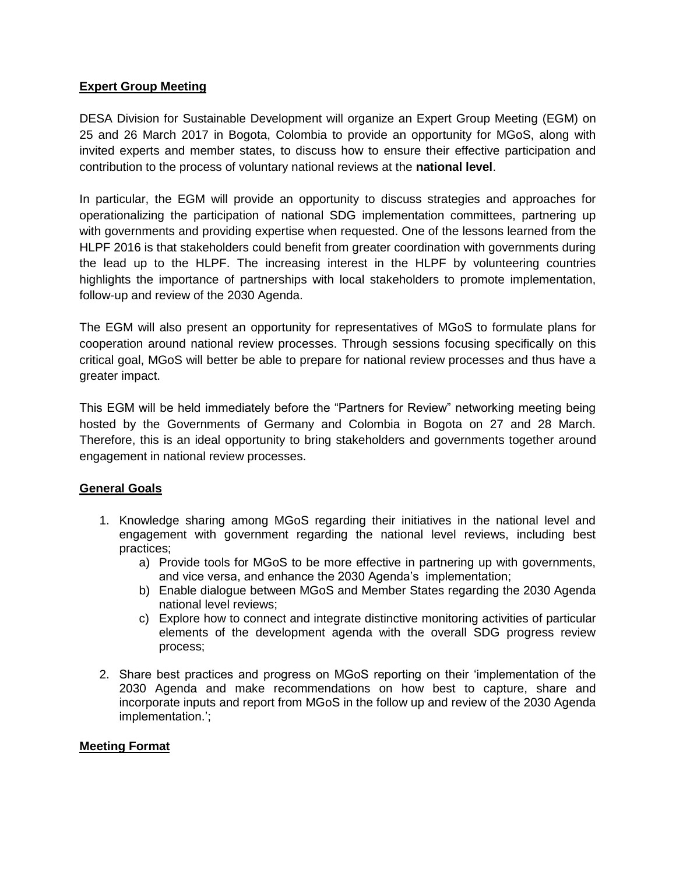## **Expert Group Meeting**

DESA Division for Sustainable Development will organize an Expert Group Meeting (EGM) on 25 and 26 March 2017 in Bogota, Colombia to provide an opportunity for MGoS, along with invited experts and member states, to discuss how to ensure their effective participation and contribution to the process of voluntary national reviews at the **national level**.

In particular, the EGM will provide an opportunity to discuss strategies and approaches for operationalizing the participation of national SDG implementation committees, partnering up with governments and providing expertise when requested. One of the lessons learned from the HLPF 2016 is that stakeholders could benefit from greater coordination with governments during the lead up to the HLPF. The increasing interest in the HLPF by volunteering countries highlights the importance of partnerships with local stakeholders to promote implementation, follow-up and review of the 2030 Agenda.

The EGM will also present an opportunity for representatives of MGoS to formulate plans for cooperation around national review processes. Through sessions focusing specifically on this critical goal, MGoS will better be able to prepare for national review processes and thus have a greater impact.

This EGM will be held immediately before the "Partners for Review" networking meeting being hosted by the Governments of Germany and Colombia in Bogota on 27 and 28 March. Therefore, this is an ideal opportunity to bring stakeholders and governments together around engagement in national review processes.

#### **General Goals**

- 1. Knowledge sharing among MGoS regarding their initiatives in the national level and engagement with government regarding the national level reviews, including best practices;
	- a) Provide tools for MGoS to be more effective in partnering up with governments, and vice versa, and enhance the 2030 Agenda's implementation;
	- b) Enable dialogue between MGoS and Member States regarding the 2030 Agenda national level reviews;
	- c) Explore how to connect and integrate distinctive monitoring activities of particular elements of the development agenda with the overall SDG progress review process;
- 2. Share best practices and progress on MGoS reporting on their 'implementation of the 2030 Agenda and make recommendations on how best to capture, share and incorporate inputs and report from MGoS in the follow up and review of the 2030 Agenda implementation.';

#### **Meeting Format**